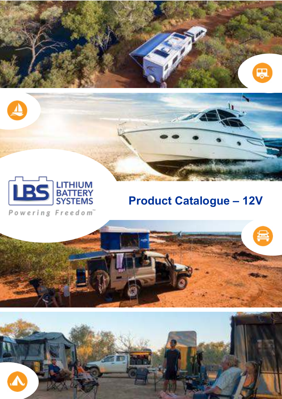



Powering Freedom"

# **Product Catalogue – 12V**

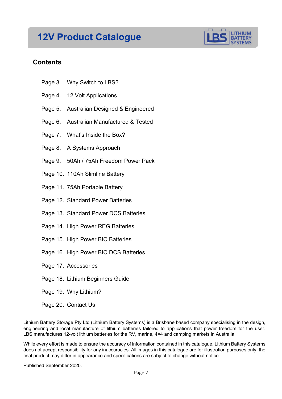## **12V Product Catalogue**



#### **Contents**

- Page 3. Why Switch to LBS?
- Page 4. 12 Volt Applications
- Page 5. Australian Designed & Engineered
- Page 6. Australian Manufactured & Tested
- Page 7. What's Inside the Box?
- Page 8. A Systems Approach
- Page 9. 50Ah / 75Ah Freedom Power Pack
- Page 10. 110Ah Slimline Battery
- Page 11. 75Ah Portable Battery
- Page 12. Standard Power Batteries
- Page 13. Standard Power DCS Batteries
- Page 14. High Power REG Batteries
- Page 15. High Power BIC Batteries
- Page 16. High Power BIC DCS Batteries
- Page 17. Accessories
- Page 18. Lithium Beginners Guide
- Page 19. Why Lithium?
- Page 20. Contact Us

Lithium Battery Storage Pty Ltd (Lithium Battery Systems) is a Brisbane based company specialising in the design, engineering and local manufacture of lithium batteries tailored to applications that power freedom for the user. LBS manufactures 12-volt lithium batteries for the RV, marine, 4×4 and camping markets in Australia.

While every effort is made to ensure the accuracy of information contained in this catalogue, Lithium Battery Systems does not accept responsibility for any inaccuracies. All images in this catalogue are for illustration purposes only, the final product may differ in appearance and specifications are subject to change without notice.

Published September 2020.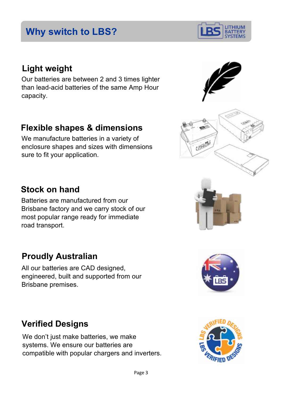## **Why switch to LBS?**

## **Light weight**

Our batteries are between 2 and 3 times lighter than lead-acid batteries of the same Amp Hour capacity.

## **Flexible shapes & dimensions**

We manufacture batteries in a variety of enclosure shapes and sizes with dimensions sure to fit your application.

## **Stock on hand**

Batteries are manufactured from our Brisbane factory and we carry stock of our most popular range ready for immediate road transport.

## **Proudly Australian**

All our batteries are CAD designed, engineered, built and supported from our Brisbane premises.

# **Verified Designs**

We don't just make batteries, we make systems. We ensure our batteries are compatible with popular chargers and inverters.







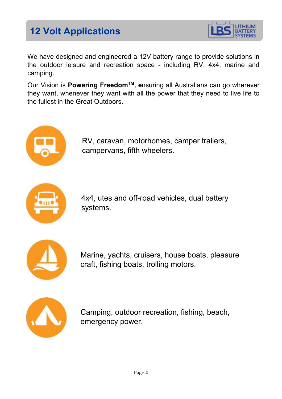# **12 Volt Applications**



We have designed and engineered a 12V battery range to provide solutions in the outdoor leisure and recreation space - including RV, 4x4, marine and camping.

Our Vision is **Powering FreedomTM, e**nsuring all Australians can go wherever they want, whenever they want with all the power that they need to live life to the fullest in the Great Outdoors.



RV, caravan, motorhomes, camper trailers, campervans, fifth wheelers.



4x4, utes and off-road vehicles, dual battery systems.



Marine, yachts, cruisers, house boats, pleasure craft, fishing boats, trolling motors.



Camping, outdoor recreation, fishing, beach, emergency power.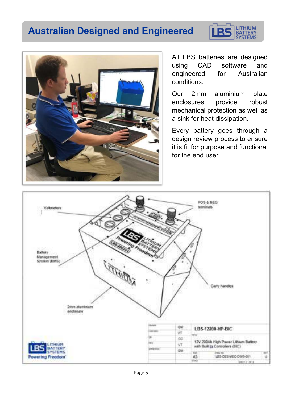## **Australian Designed and Engineered**





All LBS batteries are designed using CAD software and engineered for Australian conditions.

Our 2mm aluminium plate enclosures provide robust mechanical protection as well as a sink for heat dissipation.

Every battery goes through a design review process to ensure it is fit for purpose and functional for the end user.

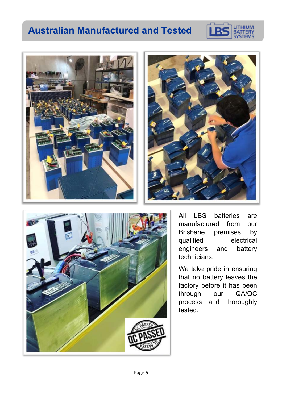## **Australian Manufactured and Tested**









All LBS batteries are manufactured from our Brisbane premises by qualified electrical engineers and battery technicians.

We take pride in ensuring that no battery leaves the factory before it has been through our QA/QC process and thoroughly tested.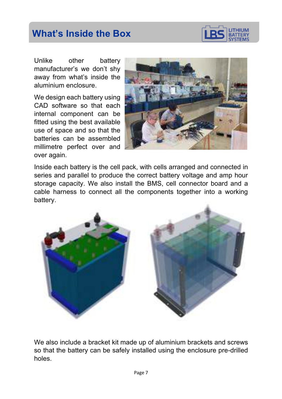## **What's Inside the Box**



Unlike other battery manufacturer's we don't shy away from what's inside the aluminium enclosure.

We design each battery using CAD software so that each internal component can be fitted using the best available use of space and so that the batteries can be assembled millimetre perfect over and over again.



Inside each battery is the cell pack, with cells arranged and connected in series and parallel to produce the correct battery voltage and amp hour storage capacity. We also install the BMS, cell connector board and a cable harness to connect all the components together into a working battery.



We also include a bracket kit made up of aluminium brackets and screws so that the battery can be safely installed using the enclosure pre-drilled holes.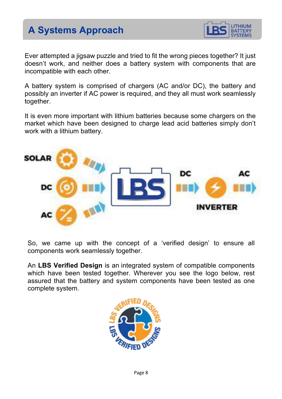# **A Systems Approach**



 Ever attempted a jigsaw puzzle and tried to fit the wrong pieces together? It just doesn't work, and neither does a battery system with components that are incompatible with each other.

A battery system is comprised of chargers (AC and/or DC), the battery and possibly an inverter if AC power is required, and they all must work seamlessly together.

It is even more important with lithium batteries because some chargers on the market which have been designed to charge lead acid batteries simply don't work with a lithium battery.



So, we came up with the concept of a 'verified design' to ensure all components work seamlessly together.

An **LBS Verified Design** is an integrated system of compatible components which have been tested together. Wherever you see the logo below, rest assured that the battery and system components have been tested as one complete system.

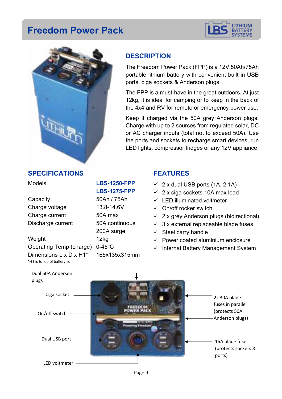## **Freedom Power Pack**





### **DESCRIPTION**

The Freedom Power Pack (FPP) is a 12V 50Ah/75Ah portable lithium battery with convenient built in USB ports, ciga sockets & Anderson plugs.

The FPP is a must-have in the great outdoors. At just 12kg, it is ideal for camping or to keep in the back of the 4x4 and RV for remote or emergency power use.

Keep it charged via the 50A grey Anderson plugs. Charge with up to 2 sources from regulated solar, DC or AC charger inputs (total not to exceed 50A). Use the ports and sockets to recharge smart devices, run LED lights, compressor fridges or any 12V appliance.

#### **SPECIFICATIONS**

Capacity 50Ah / 75Ah Charge voltage 13.8-14.6V Charge current 50A max Discharge current 50A continuous

Weight 12kg Operating Temp (charge) 0-45°C Dimensions L x D x H1\* 165x135x315mm \*H1 is to top of battery lid

## Models **LBS-1250-FPP LBS-1275-FPP**

200A surge

#### **FEATURES**

- $\checkmark$  2 x dual USB ports (1A, 2.1A)
- $\times$  2 x ciga sockets 10A max load
- $\checkmark$  LED illuminated voltmeter
- $\checkmark$  On/off rocker switch
- $\checkmark$  2 x grey Anderson plugs (bidirectional)
- $\checkmark$  3 x external replaceable blade fuses
- $\checkmark$  Steel carry handle
- $\checkmark$  Power coated aluminium enclosure
- $\checkmark$  Internal Battery Management System

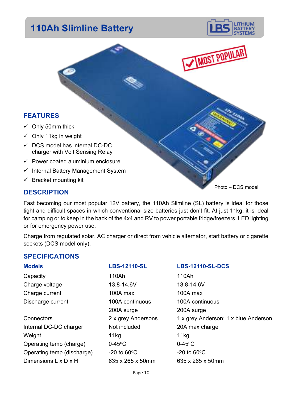## **110Ah Slimline Battery**





#### **FEATURES**

- $\checkmark$  Only 50mm thick
- $\checkmark$  Only 11kg in weight
- $\checkmark$  DCS model has internal DC-DC charger with Volt Sensing Relay
- $\checkmark$  Power coated aluminium enclosure
- $\checkmark$  Internal Battery Management System
- $\checkmark$  Bracket mounting kit

#### **DESCRIPTION**

Fast becoming our most popular 12V battery, the 110Ah Slimline (SL) battery is ideal for those tight and difficult spaces in which conventional size batteries just don't fit. At just 11kg, it is ideal for camping or to keep in the back of the 4x4 and RV to power portable fridge/freezers, LED lighting or for emergency power use.

Charge from regulated solar, AC charger or direct from vehicle alternator, start battery or cigarette sockets (DCS model only).

#### **SPECIFICATIONS**

Internal DC-DC charger Not included 20A max charge Weight 11kg 11kg Operating temp (charge)  $0-45^{\circ}$ C 0-45<sup>o</sup>C Operating temp (discharge)  $-20$  to  $60^{\circ}$ C  $-20$  to  $60^{\circ}$ C Dimensions L x D x H 635 x 265 x 50mm 635 x 265 x 50mm

Capacity 110Ah 110Ah 110Ah Charge voltage 13.8-14.6V 13.8-14.6V Charge current 100A max 100A max Discharge current 100A continuous 100A continuous 200A surge 200A surge

#### **Models LBS-12110-SL LBS-12110-SL-DCS**

Connectors 2 x grey Andersons 1 x grey Anderson; 1 x blue Anderson

Photo – DCS model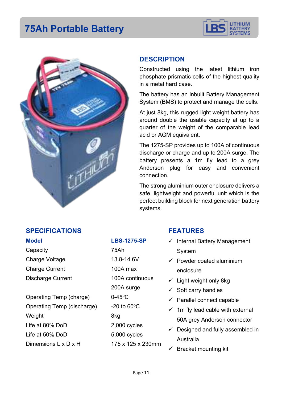## **75Ah Portable Battery**





#### **DESCRIPTION**

Constructed using the latest lithium iron phosphate prismatic cells of the highest quality in a metal hard case.

The battery has an inbuilt Battery Management System (BMS) to protect and manage the cells.

At just 8kg, this rugged light weight battery has around double the usable capacity at up to a quarter of the weight of the comparable lead acid or AGM equivalent.

The 1275-SP provides up to 100A of continuous discharge or charge and up to 200A surge. The battery presents a 1m fly lead to a grey Anderson plug for easy and convenient connection.

The strong aluminium outer enclosure delivers a safe, lightweight and powerful unit which is the perfect building block for next generation battery systems.

#### **SPECIFICATIONS**

Capacity 75Ah Charge Voltage 13.8-14.6V Charge Current 100A max Discharge Current 100A continuous

Operating Temp (charge) 0-45°C Operating Temp (discharge)  $-20$  to 60 $\degree$ C Weight 8kg Life at 80% DoD 2,000 cycles Life at 50% DoD 5,000 cycles Dimensions  $L \times D \times H$  175 x 125 x 230mm

#### **Model LBS-1275-SP**

200A surge

#### **FEATURES**

- $\checkmark$  Internal Battery Management System
- $\checkmark$  Powder coated aluminium enclosure
- $\checkmark$  Light weight only 8kg
- $\checkmark$  Soft carry handles
- $\checkmark$  Parallel connect capable
- $\checkmark$  1m fly lead cable with external 50A grey Anderson connector
- $\checkmark$  Designed and fully assembled in Australia
- $\checkmark$  Bracket mounting kit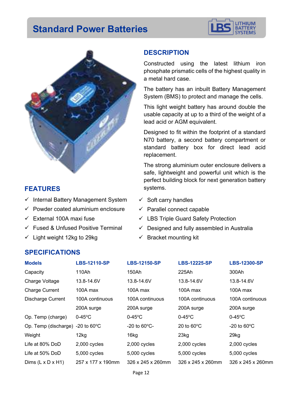## **Standard Power Batteries**





#### **FEATURES**

- $\checkmark$  Internal Battery Management System
- $\checkmark$  Powder coated aluminium enclosure
- $\checkmark$  External 100A maxi fuse
- $\checkmark$  Fused & Unfused Positive Terminal
- $\checkmark$  Light weight 12kg to 29kg

#### **DESCRIPTION**

Constructed using the latest lithium iron phosphate prismatic cells of the highest quality in a metal hard case.

The battery has an inbuilt Battery Management System (BMS) to protect and manage the cells.

This light weight battery has around double the usable capacity at up to a third of the weight of a lead acid or AGM equivalent.

Designed to fit within the footprint of a standard N70 battery, a second battery compartment or standard battery box for direct lead acid replacement.

The strong aluminium outer enclosure delivers a safe, lightweight and powerful unit which is the perfect building block for next generation battery systems.

- $\checkmark$  Soft carry handles
- $\checkmark$  Parallel connect capable
- $\checkmark$  LBS Triple Guard Safety Protection
- $\checkmark$  Designed and fully assembled in Australia
- $\checkmark$  Bracket mounting kit

| <b>Models</b>                 | <b>LBS-12110-SP</b>     | <b>LBS-12150-SP</b>            | <b>LBS-12225-SP</b>            | <b>LBS-12300-SP</b>            |
|-------------------------------|-------------------------|--------------------------------|--------------------------------|--------------------------------|
| Capacity                      | 110Ah                   | 150Ah                          | 225Ah                          | 300Ah                          |
| Charge Voltage                | 13.8-14.6V              | 13.8-14.6V                     | 13.8-14.6V                     | 13.8-14.6V                     |
| <b>Charge Current</b>         | $100A$ max              | $100A$ max                     | 100A max                       | 100A max                       |
| <b>Discharge Current</b>      | 100A continuous         | 100A continuous                | 100A continuous                | 100A continuous                |
|                               | 200A surge              | 200A surge                     | 200A surge                     | 200A surge                     |
| Op. Temp (charge)             | $0-45$ °C               | $0-45$ °C                      | $0-45$ °C                      | $0-45$ °C                      |
| Op. Temp (discharge)          | $-20$ to 60 $\degree$ C | $-20$ to 60 $\degree$ C-       | 20 to $60^{\circ}$ C           | $-20$ to $60^{\circ}$ C        |
| Weight                        | 12kg                    | 16kg                           | 23kg                           | $29$ kg                        |
| Life at 80% DoD               | 2,000 cycles            | 2,000 cycles                   | 2,000 cycles                   | 2,000 cycles                   |
| Life at 50% DoD               | 5,000 cycles            | 5,000 cycles                   | 5,000 cycles                   | 5,000 cycles                   |
| Dims $(L \times D \times H1)$ | 257 x 177 x 190mm       | $326 \times 245 \times 260$ mm | $326 \times 245 \times 260$ mm | $326 \times 245 \times 260$ mm |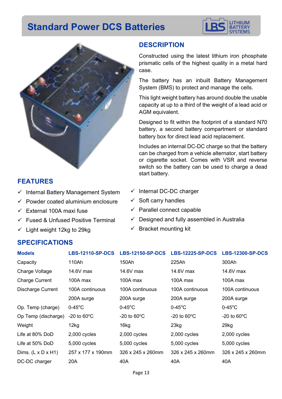## **Standard Power DCS Batteries**





#### **FEATURES**

- $\checkmark$  Internal Battery Management System
- $\checkmark$  Powder coated aluminium enclosure
- $\checkmark$  External 100A maxi fuse
- $\checkmark$  Fused & Unfused Positive Terminal
- $\checkmark$  Light weight 12kg to 29kg

#### **DESCRIPTION**

Constructed using the latest lithium iron phosphate prismatic cells of the highest quality in a metal hard case.

The battery has an inbuilt Battery Management System (BMS) to protect and manage the cells.

This light weight battery has around double the usable capacity at up to a third of the weight of a lead acid or AGM equivalent.

Designed to fit within the footprint of a standard N70 battery, a second battery compartment or standard battery box for direct lead acid replacement.

Includes an internal DC-DC charge so that the battery can be charged from a vehicle alternator, start battery or cigarette socket. Comes with VSR and reverse switch so the battery can be used to charge a dead start battery.

- $\checkmark$  Internal DC-DC charger
- $\checkmark$  Soft carry handles
- $\checkmark$  Parallel connect capable
- $\checkmark$  Designed and fully assembled in Australia
- $\checkmark$  Bracket mounting kit

| <b>Models</b>                  | <b>LBS-12110-SP-DCS</b> | <b>LBS-12150-SP-DCS</b>        | <b>LBS-12225-SP-DCS</b>          | <b>LBS-12300-SP-DCS</b> |
|--------------------------------|-------------------------|--------------------------------|----------------------------------|-------------------------|
| Capacity                       | 110Ah                   | 150Ah                          | 225Ah                            | 300Ah                   |
| Charge Voltage                 | 14.6V max               | $14.6V$ max                    | 14.6V max                        | 14.6V max               |
| <b>Charge Current</b>          | 100A max                | $100A$ max                     | 100A max                         | 100A max                |
| <b>Discharge Current</b>       | 100A continuous         | 100A continuous                | 100A continuous                  | 100A continuous         |
|                                | 200A surge              | 200A surge                     | 200A surge                       | 200A surge              |
| Op. Temp (charge)              | $0-45$ °C               | $0-45$ °C                      | $0-45$ °C                        | $0-45$ °C               |
| Op Temp (discharge)            | -20 to $60^{\circ}$ C   | -20 to $60^{\circ}$ C          | $-20$ to 60 $\mathrm{^{\circ}C}$ | -20 to $60^{\circ}$ C   |
| Weight                         | 12kg                    | 16kg                           | 23kg                             | 29kg                    |
| Life at 80% DoD                | $2,000$ cycles          | 2,000 cycles                   | $2,000$ cycles                   | 2,000 cycles            |
| Life at 50% DoD                | 5,000 cycles            | 5,000 cycles                   | 5,000 cycles                     | 5,000 cycles            |
| Dims. $(L \times D \times H1)$ | 257 x 177 x 190mm       | $326 \times 245 \times 260$ mm | $326 \times 245 \times 260$ mm   | 326 x 245 x 260mm       |
| DC-DC charger                  | 20A                     | 40A                            | 40A                              | 40A                     |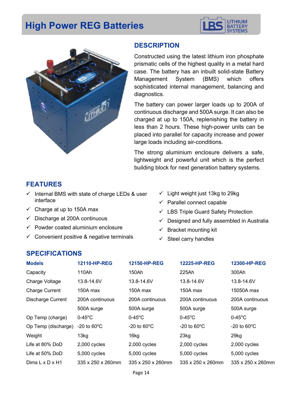## **High Power REG Batteries**





#### **DESCRIPTION**

Constructed using the latest lithium iron phosphate prismatic cells of the highest quality in a metal hard case. The battery has an inbuilt solid-state Battery Management System (BMS) which offers sophisticated internal management, balancing and diagnostics.

The battery can power larger loads up to 200A of continuous discharge and 500A surge. It can also be charged at up to 150A, replenishing the battery in less than 2 hours. These high-power units can be placed into parallel for capacity increase and power large loads including air-conditions.

The strong aluminium enclosure delivers a safe, lightweight and powerful unit which is the perfect building block for next generation battery systems.

#### **FEATURES**

- $\checkmark$  Internal BMS with state of charge LEDs & user interface
- $\checkmark$  Charge at up to 150A max
- $\checkmark$  Discharge at 200A continuous
- $\checkmark$  Powder coated aluminium enclosure
- $\checkmark$  Convenient positive & negative terminals
- $\checkmark$  Light weight just 13kg to 29kg
- $\checkmark$  Parallel connect capable
- $\checkmark$  LBS Triple Guard Safety Protection
- $\checkmark$  Designed and fully assembled in Australia
- ü Bracket mounting kit
- $\checkmark$  Steel carry handles

| 12110-HP-REG                   | 12150-HP-REG            | 12225-HP-REG                   | 12300-HP-REG            |
|--------------------------------|-------------------------|--------------------------------|-------------------------|
| 110Ah                          | 150Ah                   | 225Ah                          | 300Ah                   |
| 13.8-14.6V                     | 13.8-14.6V              | 13.8-14.6V                     | 13.8-14.6V              |
| 150A max                       | 150A max                | 150A max                       | 15050A max              |
| 200A continuous                | 200A continuous         | 200A continuous                | 200A continuous         |
| 500A surge                     | 500A surge              | 500A surge                     | 500A surge              |
| $0-45$ °C                      | $0-45$ °C               | $0-45$ °C                      | $0-45$ °C               |
| -20 to $60^{\circ}$ C          | $-20$ to 60 $\degree$ C | $-20$ to $60^{\circ}$ C        | $-20$ to $60^{\circ}$ C |
| 13kg                           | 16kg                    | 23kg                           | 29kg                    |
| $2,000$ cycles                 | $2,000$ cycles          | 2,000 cycles                   | $2,000$ cycles          |
| 5,000 cycles                   | 5,000 cycles            | 5,000 cycles                   | 5,000 cycles            |
| $335 \times 250 \times 260$ mm | 335 x 250 x 260mm       | $335 \times 250 \times 260$ mm | 335 x 250 x 260mm       |
| Op Temp (discharge)            |                         |                                |                         |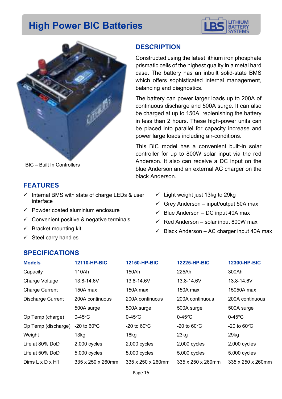## **High Power BIC Batteries**





BIC – Built In Controllers

#### **FEATURES**

- $\checkmark$  Internal BMS with state of charge LEDs & user interface
- $\checkmark$  Powder coated aluminium enclosure
- $\checkmark$  Convenient positive & negative terminals
- $\checkmark$  Bracket mounting kit
- $\checkmark$  Steel carry handles

#### **DESCRIPTION**

Constructed using the latest lithium iron phosphate prismatic cells of the highest quality in a metal hard case. The battery has an inbuilt solid-state BMS which offers sophisticated internal management, balancing and diagnostics.

The battery can power larger loads up to 200A of continuous discharge and 500A surge. It can also be charged at up to 150A, replenishing the battery in less than 2 hours. These high-power units can be placed into parallel for capacity increase and power large loads including air-conditions.

This BIC model has a convenient built-in solar controller for up to 800W solar input via the red Anderson. It also can receive a DC input on the blue Anderson and an external AC charger on the black Anderson.

- $\checkmark$  Light weight just 13kg to 29kg
- $\checkmark$  Grey Anderson input/output 50A max
- $\checkmark$  Blue Anderson DC input 40A max
- $\checkmark$  Red Anderson solar input 800W max
- $\checkmark$  Black Anderson AC charger input 40A max

| <b>Models</b>               | <b>12110-HP-BIC</b>            | 12150-HP-BIC                   | <b>12225-HP-BIC</b>            | 12300-HP-BIC                   |
|-----------------------------|--------------------------------|--------------------------------|--------------------------------|--------------------------------|
| Capacity                    | 110Ah                          | 150Ah                          | 225Ah                          | 300Ah                          |
| Charge Voltage              | 13.8-14.6V                     | 13.8-14.6V                     | 13.8-14.6V                     | 13.8-14.6V                     |
| <b>Charge Current</b>       | 150A max                       | 150A max                       | 150A max                       | 15050A max                     |
| <b>Discharge Current</b>    | 200A continuous                | 200A continuous                | 200A continuous                | 200A continuous                |
|                             | 500A surge                     | 500A surge                     | 500A surge                     | 500A surge                     |
| Op Temp (charge)            | $0-45$ °C                      | $0-45$ °C                      | $0-45$ °C                      | $0-45$ °C                      |
| Op Temp (discharge)         | $-20$ to $60^{\circ}$ C        | $-20$ to 60 $\degree$ C        | $-20$ to $60^{\circ}$ C        | -20 to $60^{\circ}$ C          |
| Weight                      | 13kg                           | 16 <sub>kg</sub>               | 23kg                           | 29kg                           |
| Life at 80% DoD             | 2,000 cycles                   | 2,000 cycles                   | 2,000 cycles                   | 2,000 cycles                   |
| Life at 50% DoD             | 5,000 cycles                   | 5,000 cycles                   | 5,000 cycles                   | 5,000 cycles                   |
| Dims $L \times D \times H1$ | $335 \times 250 \times 260$ mm | $335 \times 250 \times 260$ mm | $335 \times 250 \times 260$ mm | $335 \times 250 \times 260$ mm |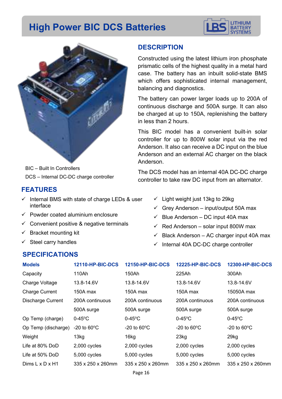## **High Power BIC DCS Batteries**





BIC – Built In Controllers DCS – Internal DC-DC charge controller

#### **FEATURES**

- $\checkmark$  Internal BMS with state of charge LEDs & user interface
- $\checkmark$  Powder coated aluminium enclosure
- $\checkmark$  Convenient positive & negative terminals
- $\checkmark$  Bracket mounting kit
- $\checkmark$  Steel carry handles

#### **DESCRIPTION**

Constructed using the latest lithium iron phosphate prismatic cells of the highest quality in a metal hard case. The battery has an inbuilt solid-state BMS which offers sophisticated internal management, balancing and diagnostics.

The battery can power larger loads up to 200A of continuous discharge and 500A surge. It can also be charged at up to 150A, replenishing the battery in less than 2 hours.

This BIC model has a convenient built-in solar controller for up to 800W solar input via the red Anderson. It also can receive a DC input on the blue Anderson and an external AC charger on the black Anderson.

The DCS model has an internal 40A DC-DC charge controller to take raw DC input from an alternator.

- $\checkmark$  Light weight just 13kg to 29kg
- $\checkmark$  Grey Anderson input/output 50A max
- $\checkmark$  Blue Anderson DC input 40A max
- $\checkmark$  Red Anderson solar input 800W max
- $\checkmark$  Black Anderson AC charger input 40A max
- $\checkmark$  Internal 40A DC-DC charge controller

| <b>Models</b>               | <b>12110-HP-BIC-DCS</b>        | <b>12150-HP-BIC-DCS</b> | <b>12225-HP-BIC-DCS</b>        | <b>12300-HP-BIC-DCS</b>        |
|-----------------------------|--------------------------------|-------------------------|--------------------------------|--------------------------------|
| Capacity                    | 110Ah                          | 150Ah                   | 225Ah                          | 300Ah                          |
| Charge Voltage              | 13.8-14.6V                     | 13.8-14.6V              | 13.8-14.6V                     | 13.8-14.6V                     |
| <b>Charge Current</b>       | 150A max                       | 150A max                | 150A max                       | 15050A max                     |
| <b>Discharge Current</b>    | 200A continuous                | 200A continuous         | 200A continuous                | 200A continuous                |
|                             | 500A surge                     | 500A surge              | 500A surge                     | 500A surge                     |
| Op Temp (charge)            | $0-45$ °C                      | $0-45$ °C               | $0-45$ °C                      | $0-45$ °C                      |
| Op Temp (discharge)         | $-20$ to $60^{\circ}$ C        | $-20$ to $60^{\circ}$ C | $-20$ to 60 $^{\circ}$ C       | $-20$ to 60 $\degree$ C        |
| Weight                      | 13 <sub>kg</sub>               | 16kg                    | 23kg                           | 29kg                           |
| Life at 80% DoD             | $2,000$ cycles                 | 2,000 cycles            | 2,000 cycles                   | $2,000$ cycles                 |
| Life at 50% DoD             | 5,000 cycles                   | 5,000 cycles            | 5,000 cycles                   | 5,000 cycles                   |
| Dims $L \times D \times H1$ | $335 \times 250 \times 260$ mm | 335 x 250 x 260mm       | $335 \times 250 \times 260$ mm | $335 \times 250 \times 260$ mm |
|                             |                                |                         |                                |                                |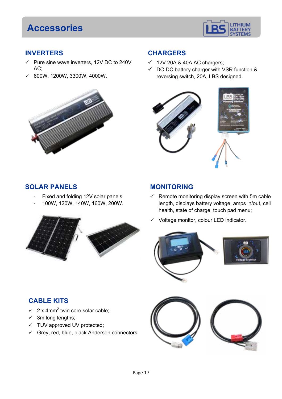## **Accessories**



#### **INVERTERS**

- $\checkmark$  Pure sine wave inverters, 12V DC to 240V AC;
- $\times$  600W, 1200W, 3300W, 4000W.



### **CHARGERS**

- $\times$  12V 20A & 40A AC chargers;
- $\checkmark$  DC-DC battery charger with VSR function & reversing switch, 20A, LBS designed.



#### **SOLAR PANELS**

- Fixed and folding 12V solar panels;
- 100W, 120W, 140W, 160W, 200W.



#### **MONITORING**

- $\checkmark$  Remote monitoring display screen with 5m cable length, displays battery voltage, amps in/out, cell health, state of charge, touch pad menu;
- Voltage monitor, colour LED indicator.



### **CABLE KITS**

- $\checkmark$  2 x 4mm<sup>2</sup> twin core solar cable;
- $\checkmark$  3m long lengths;
- $\times$  TUV approved UV protected;
- $\checkmark$  Grey, red, blue, black Anderson connectors.

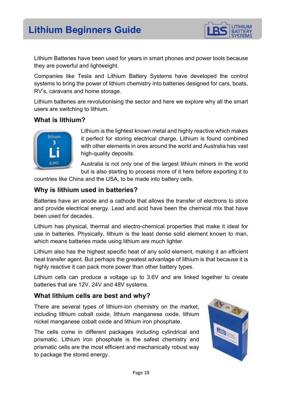

Lithium Batteries have been used for years in smart phones and power tools because they are powerful and lightweight.

Companies like Tesla and Lithium Battery Systems have developed the control systems to bring the power of lithium chemistry into batteries designed for cars, boats, RV's, caravans and home storage.

Lithium batteries are revolutionising the sector and here we explore why all the smart users are switching to lithium.

#### **What is lithium?**



Lithium is the lightest known metal and highly reactive which makes it perfect for storing electrical charge. Lithium is found combined with other elements in ores around the world and Australia has vast high-quality deposits.

Australia is not only one of the largest lithium miners in the world but is also starting to process more of it here before exporting it to

countries like China and the USA, to be made into battery cells.

#### **Why is lithium used in batteries?**

Batteries have an anode and a cathode that allows the transfer of electrons to store and provide electrical energy. Lead and acid have been the chemical mix that have been used for decades.

Lithium has physical, thermal and electro-chemical properties that make it ideal for use in batteries. Physically, lithium is the least dense solid element known to man, which means batteries made using lithium are much lighter.

Lithium also has the highest specific heat of any solid element, making it an efficient heat transfer agent. But perhaps the greatest advantage of lithium is that because it is highly reactive it can pack more power than other battery types.

Lithium cells can produce a voltage up to 3.6V and are linked together to create batteries that are 12V, 24V and 48V systems.

#### **What lithium cells are best and why?**

There are several types of lithium-ion chemistry on the market, including lithium cobalt oxide, lithium manganese oxide, lithium nickel manganese cobalt oxide and lithium iron phosphate.

The cells come in different packages including cylindrical and prismatic. Lithium iron phosphate is the safest chemistry and prismatic cells are the most efficient and mechanically robust way to package the stored energy.

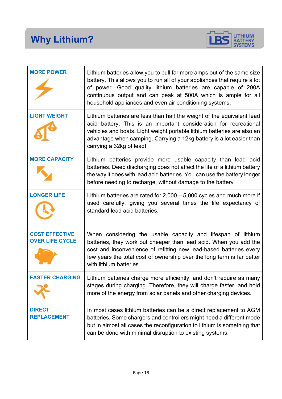

| <b>MORE POWER</b>                               | Lithium batteries allow you to pull far more amps out of the same size<br>battery. This allows you to run all of your appliances that require a lot<br>of power. Good quality lithium batteries are capable of 200A<br>continuous output and can peak at 500A which is ample for all<br>household appliances and even air conditioning systems. |
|-------------------------------------------------|-------------------------------------------------------------------------------------------------------------------------------------------------------------------------------------------------------------------------------------------------------------------------------------------------------------------------------------------------|
| <b>LIGHT WEIGHT</b>                             | Lithium batteries are less than half the weight of the equivalent lead<br>acid battery. This is an important consideration for recreational<br>vehicles and boats. Light weight portable lithium batteries are also an<br>advantage when camping. Carrying a 12kg battery is a lot easier than<br>carrying a 32kg of lead!                      |
| <b>MORE CAPACITY</b>                            | Lithium batteries provide more usable capacity than lead acid<br>batteries. Deep discharging does not affect the life of a lithium battery<br>the way it does with lead acid batteries. You can use the battery longer<br>before needing to recharge, without damage to the battery                                                             |
| <b>LONGER LIFE</b>                              | Lithium batteries are rated for $2,000 - 5,000$ cycles and much more if<br>used carefully, giving you several times the life expectancy of<br>standard lead acid batteries.                                                                                                                                                                     |
| <b>COST EFFECTIVE</b><br><b>OVER LIFE CYCLE</b> | When considering the usable capacity and lifespan of lithium<br>batteries, they work out cheaper than lead acid. When you add the<br>cost and inconvenience of refitting new lead-based batteries every<br>few years the total cost of ownership over the long term is far better<br>with lithium batteries.                                    |
|                                                 | Lithium batteries charge more efficiently, and don't require as many<br>stages during charging. Therefore, they will charge faster, and hold<br>more of the energy from solar panels and other charging devices.                                                                                                                                |
| <b>DIRECT</b><br><b>REPLACEMENT</b>             | In most cases lithium batteries can be a direct replacement to AGM<br>batteries. Some chargers and controllers might need a different mode<br>but in almost all cases the reconfiguration to lithium is something that<br>can be done with minimal disruption to existing systems.                                                              |